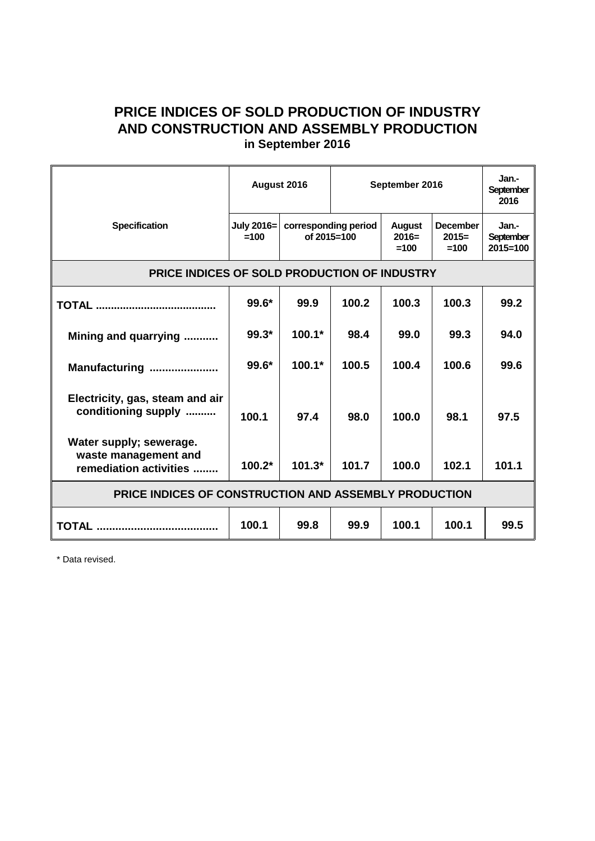## **PRICE INDICES OF SOLD PRODUCTION OF INDUSTRY AND CONSTRUCTION AND ASSEMBLY PRODUCTION in September 2016**

|                                                                           | August 2016<br>July 2016=<br>corresponding period<br>$=100$<br>of $2015 = 100$ |          | September 2016 |                                    |                                      | Jan.-<br><b>September</b><br>2016  |
|---------------------------------------------------------------------------|--------------------------------------------------------------------------------|----------|----------------|------------------------------------|--------------------------------------|------------------------------------|
| <b>Specification</b>                                                      |                                                                                |          |                | <b>August</b><br>$2016=$<br>$=100$ | <b>December</b><br>$2015=$<br>$=100$ | Jan.-<br>September<br>$2015 = 100$ |
| PRICE INDICES OF SOLD PRODUCTION OF INDUSTRY                              |                                                                                |          |                |                                    |                                      |                                    |
|                                                                           | $99.6*$                                                                        | 99.9     | 100.2          | 100.3                              | 100.3                                | 99.2                               |
| Mining and quarrying                                                      | $99.3*$                                                                        | $100.1*$ | 98.4           | 99.0                               | 99.3                                 | 94.0                               |
| Manufacturing                                                             | 99.6*                                                                          | $100.1*$ | 100.5          | 100.4                              | 100.6                                | 99.6                               |
| Electricity, gas, steam and air<br>conditioning supply                    | 100.1                                                                          | 97.4     | 98.0           | 100.0                              | 98.1                                 | 97.5                               |
| Water supply; sewerage.<br>waste management and<br>remediation activities | $100.2*$                                                                       | $101.3*$ | 101.7          | 100.0                              | 102.1                                | 101.1                              |
| PRICE INDICES OF CONSTRUCTION AND ASSEMBLY PRODUCTION                     |                                                                                |          |                |                                    |                                      |                                    |
|                                                                           | 100.1                                                                          | 99.8     | 99.9           | 100.1                              | 100.1                                | 99.5                               |

\* Data revised.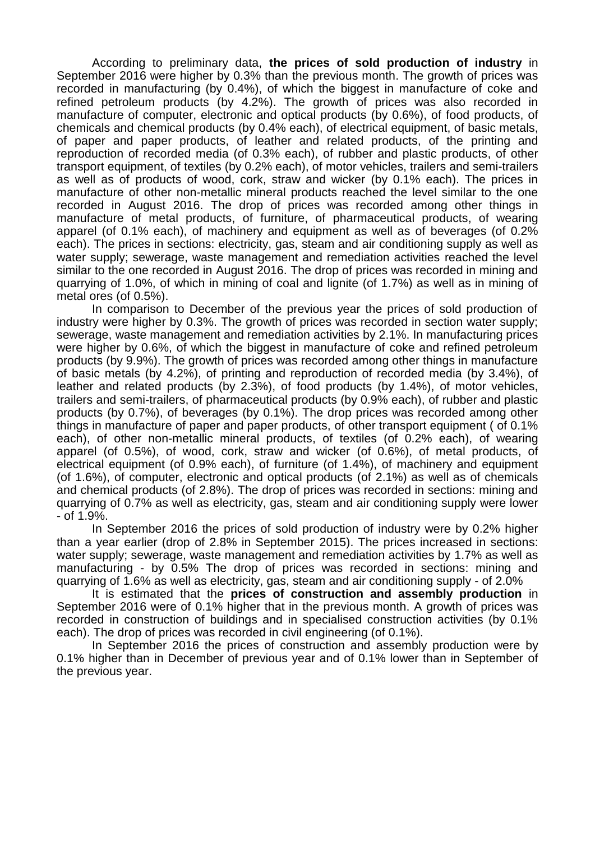According to preliminary data, **the prices of sold production of industry** in September 2016 were higher by 0.3% than the previous month. The growth of prices was recorded in manufacturing (by 0.4%), of which the biggest in manufacture of coke and refined petroleum products (by 4.2%). The growth of prices was also recorded in manufacture of computer, electronic and optical products (by 0.6%), of food products, of chemicals and chemical products (by 0.4% each), of electrical equipment, of basic metals, of paper and paper products, of leather and related products, of the printing and reproduction of recorded media (of 0.3% each), of rubber and plastic products, of other transport equipment, of textiles (by 0.2% each), of motor vehicles, trailers and semi-trailers as well as of products of wood, cork, straw and wicker (by 0.1% each). The prices in manufacture of other non-metallic mineral products reached the level similar to the one recorded in August 2016. The drop of prices was recorded among other things in manufacture of metal products, of furniture, of pharmaceutical products, of wearing apparel (of 0.1% each), of machinery and equipment as well as of beverages (of 0.2% each). The prices in sections: electricity, gas, steam and air conditioning supply as well as water supply; sewerage, waste management and remediation activities reached the level similar to the one recorded in August 2016. The drop of prices was recorded in mining and quarrying of 1.0%, of which in mining of coal and lignite (of 1.7%) as well as in mining of metal ores (of 0.5%).

In comparison to December of the previous year the prices of sold production of industry were higher by 0.3%. The growth of prices was recorded in section water supply; sewerage, waste management and remediation activities by 2.1%. In manufacturing prices were higher by 0.6%, of which the biggest in manufacture of coke and refined petroleum products (by 9.9%). The growth of prices was recorded among other things in manufacture of basic metals (by 4.2%), of printing and reproduction of recorded media (by 3.4%), of leather and related products (by 2.3%), of food products (by 1.4%), of motor vehicles, trailers and semi-trailers, of pharmaceutical products (by 0.9% each), of rubber and plastic products (by 0.7%), of beverages (by 0.1%). The drop prices was recorded among other things in manufacture of paper and paper products, of other transport equipment ( of 0.1% each), of other non-metallic mineral products, of textiles (of 0.2% each), of wearing apparel (of 0.5%), of wood, cork, straw and wicker (of 0.6%), of metal products, of electrical equipment (of 0.9% each), of furniture (of 1.4%), of machinery and equipment (of 1.6%), of computer, electronic and optical products (of 2.1%) as well as of chemicals and chemical products (of 2.8%). The drop of prices was recorded in sections: mining and quarrying of 0.7% as well as electricity, gas, steam and air conditioning supply were lower - of 1.9%.

In September 2016 the prices of sold production of industry were by 0.2% higher than a year earlier (drop of 2.8% in September 2015). The prices increased in sections: water supply; sewerage, waste management and remediation activities by 1.7% as well as manufacturing - by 0.5% The drop of prices was recorded in sections: mining and quarrying of 1.6% as well as electricity, gas, steam and air conditioning supply - of 2.0%

It is estimated that the **prices of construction and assembly production** in September 2016 were of 0.1% higher that in the previous month. A growth of prices was recorded in construction of buildings and in specialised construction activities (by 0.1% each). The drop of prices was recorded in civil engineering (of 0.1%).

In September 2016 the prices of construction and assembly production were by 0.1% higher than in December of previous year and of 0.1% lower than in September of the previous year.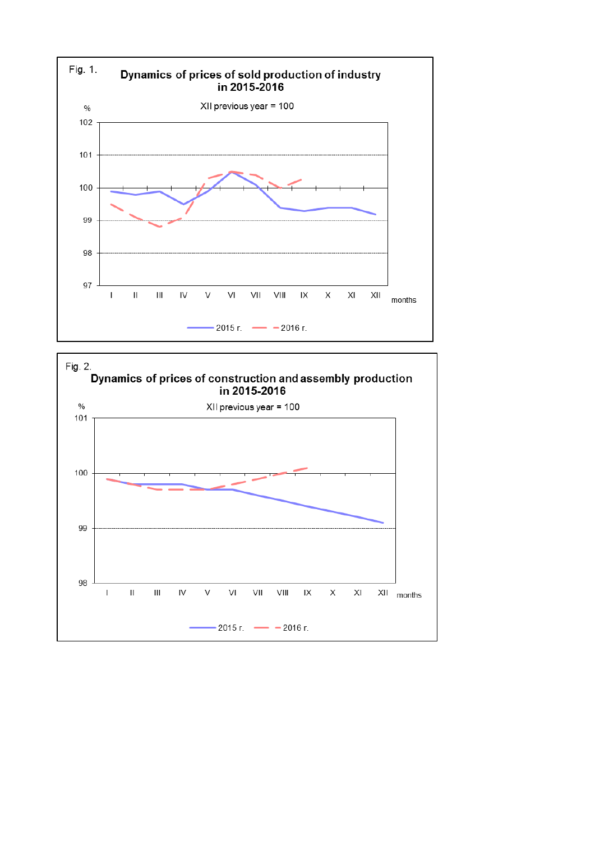